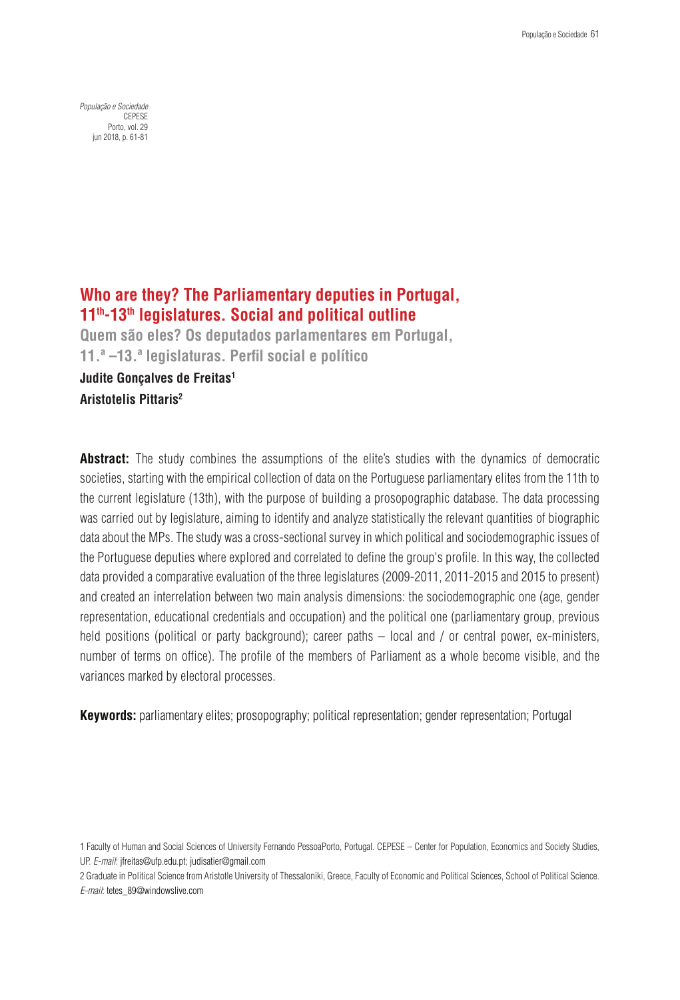*População e Sociedade* CEPESE Porto, vol. 29 jun 2018, p. 61-81

# **Who are they? The Parliamentary deputies in Portugal, 11th-13th legislatures. Social and political outline**

**Quem são eles? Os deputados parlamentares em Portugal, 11.ª –13.ª legislaturas. Perfil social e político Judite Gonçalves de Freitas1 Aristotelis Pittaris2**

**Abstract:** The study combines the assumptions of the elite's studies with the dynamics of democratic societies, starting with the empirical collection of data on the Portuguese parliamentary elites from the 11th to the current legislature (13th), with the purpose of building a prosopographic database. The data processing was carried out by legislature, aiming to identify and analyze statistically the relevant quantities of biographic data about the MPs. The study was a cross-sectional survey in which political and sociodemographic issues of the Portuguese deputies where explored and correlated to define the group's profile. In this way, the collected data provided a comparative evaluation of the three legislatures (2009-2011, 2011-2015 and 2015 to present) and created an interrelation between two main analysis dimensions: the sociodemographic one (age, gender representation, educational credentials and occupation) and the political one (parliamentary group, previous held positions (political or party background); career paths – local and / or central power, ex-ministers, number of terms on office). The profile of the members of Parliament as a whole become visible, and the variances marked by electoral processes.

**Keywords:** parliamentary elites; prosopography; political representation; gender representation; Portugal

2 Graduate in Political Science from Aristotle University of Thessaloniki, Greece, Faculty of Economic and Political Sciences, School of Political Science. *E-mail*: tetes\_89@windowslive.com

<sup>1</sup> Faculty of Human and Social Sciences of University Fernando PessoaPorto, Portugal. CEPESE – Center for Population, Economics and Society Studies, UP. *E-mail*: jfreitas@ufp.edu.pt; judisatier@gmail.com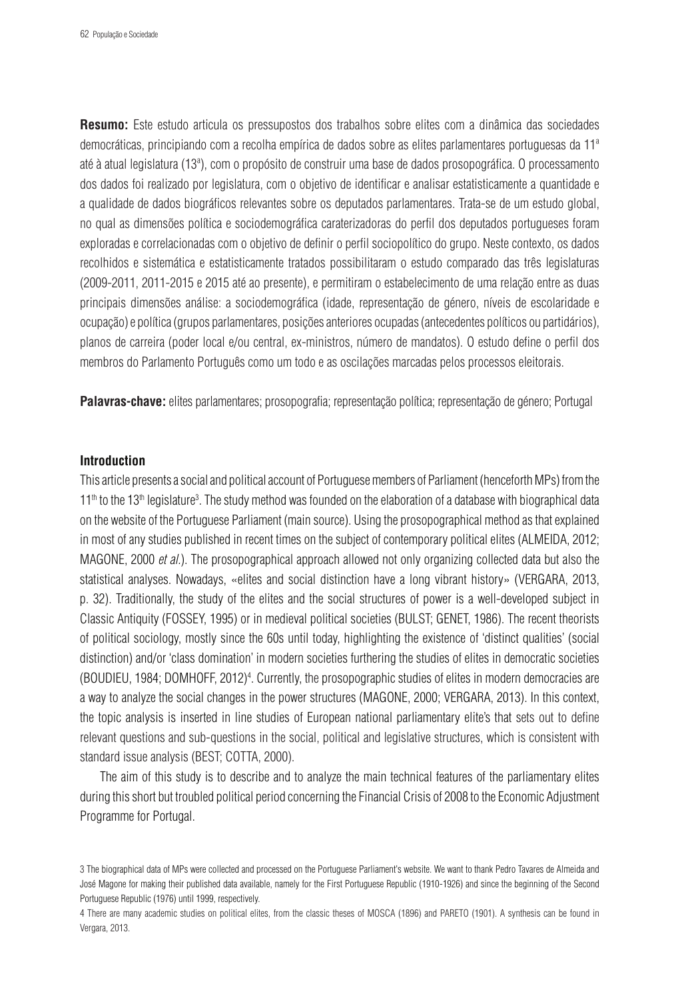**Resumo:** Este estudo articula os pressupostos dos trabalhos sobre elites com a dinâmica das sociedades democráticas, principiando com a recolha empírica de dados sobre as elites parlamentares portuguesas da 11ª até à atual legislatura (13ª), com o propósito de construir uma base de dados prosopográfica. O processamento dos dados foi realizado por legislatura, com o objetivo de identificar e analisar estatisticamente a quantidade e a qualidade de dados biográficos relevantes sobre os deputados parlamentares. Trata-se de um estudo global, no qual as dimensões política e sociodemográfica caraterizadoras do perfil dos deputados portugueses foram exploradas e correlacionadas com o objetivo de definir o perfil sociopolítico do grupo. Neste contexto, os dados recolhidos e sistemática e estatisticamente tratados possibilitaram o estudo comparado das três legislaturas (2009-2011, 2011-2015 e 2015 até ao presente), e permitiram o estabelecimento de uma relação entre as duas principais dimensões análise: a sociodemográfica (idade, representação de género, níveis de escolaridade e ocupação) e política (grupos parlamentares, posições anteriores ocupadas (antecedentes políticos ou partidários), planos de carreira (poder local e/ou central, ex-ministros, número de mandatos). O estudo define o perfil dos membros do Parlamento Português como um todo e as oscilações marcadas pelos processos eleitorais.

**Palavras-chave:** elites parlamentares; prosopografia; representação política; representação de género; Portugal

## **Introduction**

This article presents a social and political account of Portuguese members of Parliament (henceforth MPs) from the 11<sup>th</sup> to the 13<sup>th</sup> legislature<sup>3</sup>. The study method was founded on the elaboration of a database with biographical data on the website of the Portuguese Parliament (main source). Using the prosopographical method as that explained in most of any studies published in recent times on the subject of contemporary political elites (ALMEIDA, 2012; MAGONE, 2000 *et al.*). The prosopographical approach allowed not only organizing collected data but also the statistical analyses. Nowadays, «elites and social distinction have a long vibrant history» (VERGARA, 2013, p. 32). Traditionally, the study of the elites and the social structures of power is a well-developed subject in Classic Antiquity (FOSSEY, 1995) or in medieval political societies (BULST; GENET, 1986). The recent theorists of political sociology, mostly since the 60s until today, highlighting the existence of 'distinct qualities' (social distinction) and/or 'class domination' in modern societies furthering the studies of elites in democratic societies (BOUDIEU, 1984; DOMHOFF, 2012)<sup>4</sup>. Currently, the prosopographic studies of elites in modern democracies are a way to analyze the social changes in the power structures (MAGONE, 2000; VERGARA, 2013). In this context, the topic analysis is inserted in line studies of European national parliamentary elite's that sets out to define relevant questions and sub-questions in the social, political and legislative structures, which is consistent with standard issue analysis (BEST; COTTA, 2000).

The aim of this study is to describe and to analyze the main technical features of the parliamentary elites during this short but troubled political period concerning the Financial Crisis of 2008 to the Economic Adjustment Programme for Portugal.

<sup>3</sup> The biographical data of MPs were collected and processed on the Portuguese Parliament's website. We want to thank Pedro Tavares de Almeida and José Magone for making their published data available, namely for the First Portuguese Republic (1910-1926) and since the beginning of the Second Portuguese Republic (1976) until 1999, respectively.

<sup>4</sup> There are many academic studies on political elites, from the classic theses of MOSCA (1896) and PARETO (1901). A synthesis can be found in Vergara, 2013.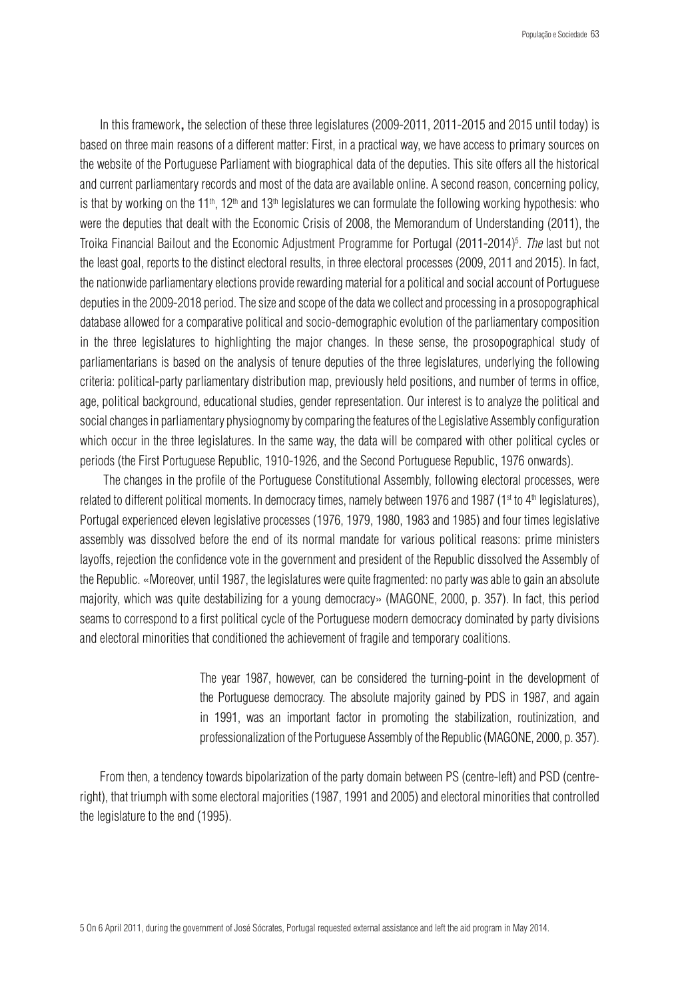In this framework**,** the selection of these three legislatures (2009-2011, 2011-2015 and 2015 until today) is based on three main reasons of a different matter: First, in a practical way, we have access to primary sources on the website of the Portuguese Parliament with biographical data of the deputies. This site offers all the historical and current parliamentary records and most of the data are available online. A second reason, concerning policy, is that by working on the 11<sup>th</sup>, 12<sup>th</sup> and 13<sup>th</sup> legislatures we can formulate the following working hypothesis: who were the deputies that dealt with the Economic Crisis of 2008, the Memorandum of Understanding (2011), the Troika Financial Bailout and the Economic Adjustment Programme for Portugal (2011-2014) 5 . *The* last but not the least goal, reports to the distinct electoral results, in three electoral processes (2009, 2011 and 2015). In fact, the nationwide parliamentary elections provide rewarding material for a political and social account of Portuguese deputies in the 2009-2018 period. The size and scope of the data we collectand processing in a prosopographical database allowed for a comparative political and socio-demographic evolution of the parliamentary composition in the three legislatures to highlighting the major changes. In these sense, the prosopographical study of parliamentarians is based on the analysis of tenure deputies of the three legislatures, underlying the following criteria: political-party parliamentary distribution map, previously held positions, and number of terms in office, age, political background, educational studies, gender representation. Our interest is to analyze the political and social changes in parliamentary physiognomy by comparing the features of the Legislative Assembly configuration which occur in the three legislatures. In the same way, the data will be compared with other political cycles or periods (the First Portuguese Republic, 1910-1926, and the Second Portuguese Republic, 1976 onwards).

 The changes in the profile of the Portuguese Constitutional Assembly, following electoral processes, were related to different political moments. In democracy times, namely between 1976 and 1987 (1<sup>st</sup> to 4<sup>th</sup> legislatures), Portugal experienced eleven legislative processes (1976, 1979, 1980, 1983 and 1985) and four times legislative assembly was dissolved before the end of its normal mandate for various political reasons: prime ministers layoffs, rejection the confidence vote in the government and president of the Republic dissolved the Assembly of the Republic. «Moreover, until 1987, the legislatures were quite fragmented: no party was able to gain an absolute majority, which was quite destabilizing for a young democracy» (MAGONE, 2000, p. 357). In fact, this period seams to correspond to a first political cycle of the Portuguese modern democracy dominated by party divisions and electoral minorities that conditioned the achievement of fragile and temporary coalitions.

> The year 1987, however, can be considered the turning-point in the development of the Portuguese democracy. The absolute majority gained by PDS in 1987, and again in 1991, was an important factor in promoting the stabilization, routinization, and professionalization of the Portuguese Assembly of the Republic (MAGONE, 2000, p. 357).

From then, a tendency towards bipolarization of the party domain between PS (centre-left) and PSD (centreright), that triumph with some electoral majorities (1987, 1991 and 2005) and electoral minorities that controlled the legislature to the end (1995).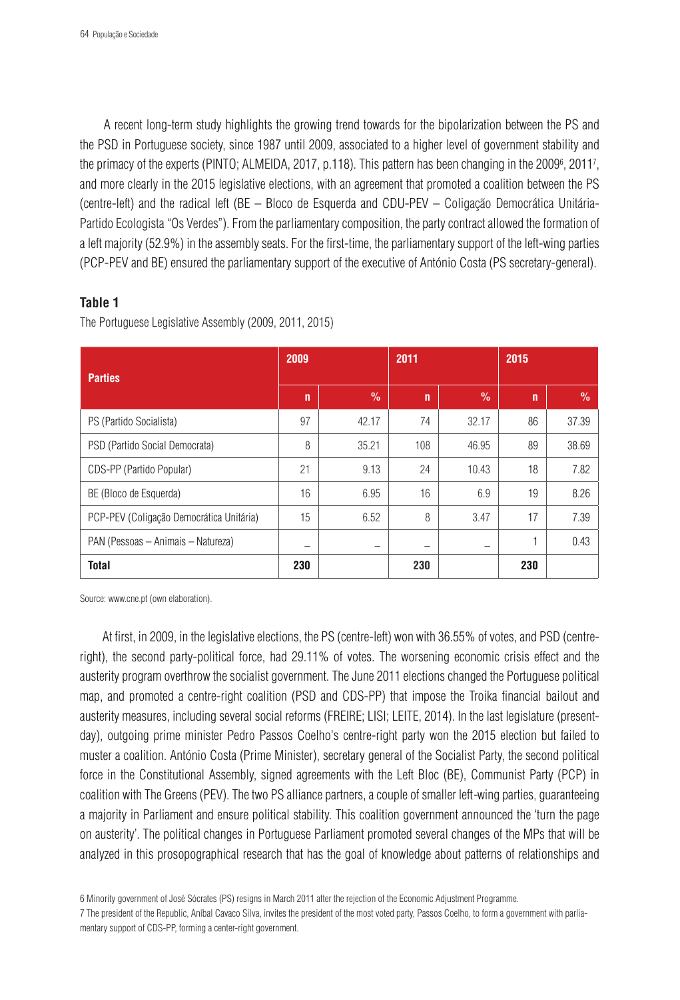A recent long-term study highlights the growing trend towards for the bipolarization between the PS and the PSD in Portuguese society, since 1987 until 2009, associated to a higher level of government stability and the primacy of the experts (PINTO; ALMEIDA, 2017, p.118). This pattern has been changing in the 2009<sup>6</sup>, 2011<sup>7</sup>, and more clearly in the 2015 legislative elections, with an agreement that promoted a coalition between the PS (centre-left) and the radical left (BE – Bloco de Esquerda and CDU-PEV – Coligação Democrática Unitária-Partido Ecologista "Os Verdes"). From the parliamentary composition, the party contract allowed the formation of a left majority (52.9%) in the assembly seats. For the first-time, the parliamentary support of the left-wing parties (PCP-PEV and BE) ensured the parliamentary support of the executive of António Costa (PS secretary-general).

## **Table 1**

The Portuguese Legislative Assembly (2009, 2011, 2015)

| <b>Parties</b>                           | 2009 |       | 2011         |       | 2015         |       |  |
|------------------------------------------|------|-------|--------------|-------|--------------|-------|--|
|                                          | n    | $\%$  | $\mathsf{n}$ | $\%$  | $\mathsf{n}$ | $\%$  |  |
| PS (Partido Socialista)                  | 97   | 42.17 | 74           | 32.17 | 86           | 37.39 |  |
| PSD (Partido Social Democrata)           | 8    | 35.21 | 108          | 46.95 | 89           | 38.69 |  |
| CDS-PP (Partido Popular)                 | 21   | 9.13  | 24           | 10.43 | 18           | 7.82  |  |
| BE (Bloco de Esquerda)                   | 16   | 6.95  | 16           | 6.9   | 19           | 8.26  |  |
| PCP-PEV (Coligação Democrática Unitária) | 15   | 6.52  | 8            | 3.47  | 17           | 7.39  |  |
| PAN (Pessoas - Animais - Natureza)       |      |       |              |       |              | 0.43  |  |
| <b>Total</b>                             | 230  |       | 230          |       | 230          |       |  |

Source: www.cne.pt (own elaboration).

 At first, in 2009, in the legislative elections, the PS (centre-left) won with 36.55% of votes, and PSD (centreright), the second party-political force, had 29.11% of votes. The worsening economic crisis effect and the austerity program overthrow the socialist government. The June 2011 elections changed the Portuguese political map, and promoted a centre-right coalition (PSD and CDS-PP) that impose the Troika financial bailout and austerity measures, including several social reforms (FREIRE; LISI; LEITE, 2014). In the last legislature (presentday), outgoing prime minister Pedro Passos Coelho's centre-right party won the 2015 election but failed to muster a coalition. António Costa (Prime Minister), secretary general of the Socialist Party, the second political force in the Constitutional Assembly, signed agreements with the Left Bloc (BE), Communist Party (PCP) in coalition with The Greens (PEV). The two PS alliance partners, a couple of smaller left*-*wing parties, guaranteeing a majority in Parliament and ensure political stability. This coalition government announced the 'turn the page on austerity'. The political changes in Portuguese Parliament promoted several changes of the MPs that will be analyzed in this prosopographical research that has the goal of knowledge about patterns of relationships and

<sup>6</sup> Minority government of José Sócrates (PS) resigns in March 2011 after the rejection of the Economic Adjustment Programme.

<sup>7</sup> The president of the Republic, Aníbal Cavaco Silva, invites the president of the most voted party, Passos Coelho, to form a government with parliamentary support of CDS-PP, forming a center-right government.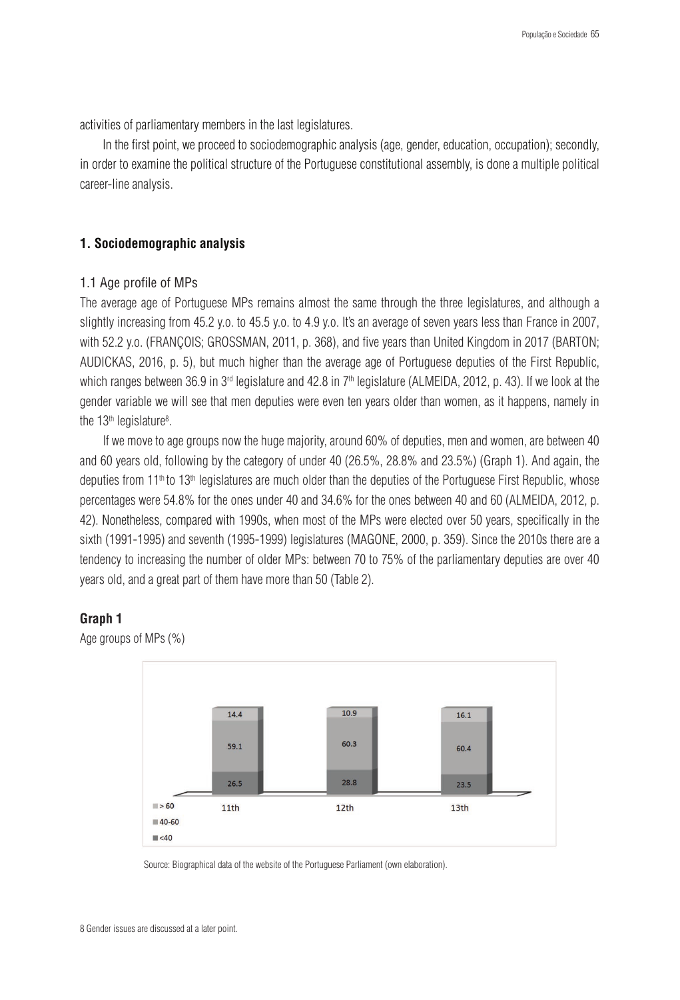activities of parliamentary members in the last legislatures.

 In the first point, we proceed to sociodemographic analysis (age, gender, education, occupation); secondly, in order to examine the political structure of the Portuguese constitutional assembly, is done a multiple political career-line analysis.

### **1. Sociodemographic analysis**

### 1.1 Age profile of MPs

The average age of Portuguese MPs remains almost the same through the three legislatures, and although a slightly increasing from 45.2 y.o. to 45.5 y.o. to 4.9 y.o. It's an average of seven years less than France in 2007, with 52.2 y.o. (FRANÇOIS; GROSSMAN, 2011, p. 368), and five years than United Kingdom in 2017 (BARTON; AUDICKAS, 2016, p. 5), but much higher than the average age of Portuguese deputies of the First Republic, which ranges between 36.9 in 3<sup>rd</sup> legislature and 42.8 in 7<sup>th</sup> legislature (ALMEIDA, 2012, p. 43). If we look at the gender variable we will see that men deputies were even ten years older than women, as it happens, namely in the 13th legislature<sup>8</sup>.

If we move to age groups now the huge majority, around 60% of deputies, men and women, are between 40 and 60 years old, following by the category of under 40 (26.5%, 28.8% and 23.5%) (Graph 1). And again, the deputies from 11<sup>th</sup> to 13<sup>th</sup> legislatures are much older than the deputies of the Portuguese First Republic, whose percentages were 54.8% for the ones under 40 and 34.6% for the ones between 40 and 60 (ALMEIDA, 2012, p. 42). Nonetheless, compared with 1990s, when most of the MPs were elected over 50 years, specifically in the sixth (1991-1995) and seventh (1995-1999) legislatures (MAGONE, 2000, p. 359). Since the 2010s there are a tendency to increasing the number of older MPs: between 70 to 75% of the parliamentary deputies are over 40 years old, and a great part of them have more than 50 (Table 2).

## **Graph 1**



Age groups of MPs (%)

Source: Biographical data of the website of the Portuguese Parliament (own elaboration).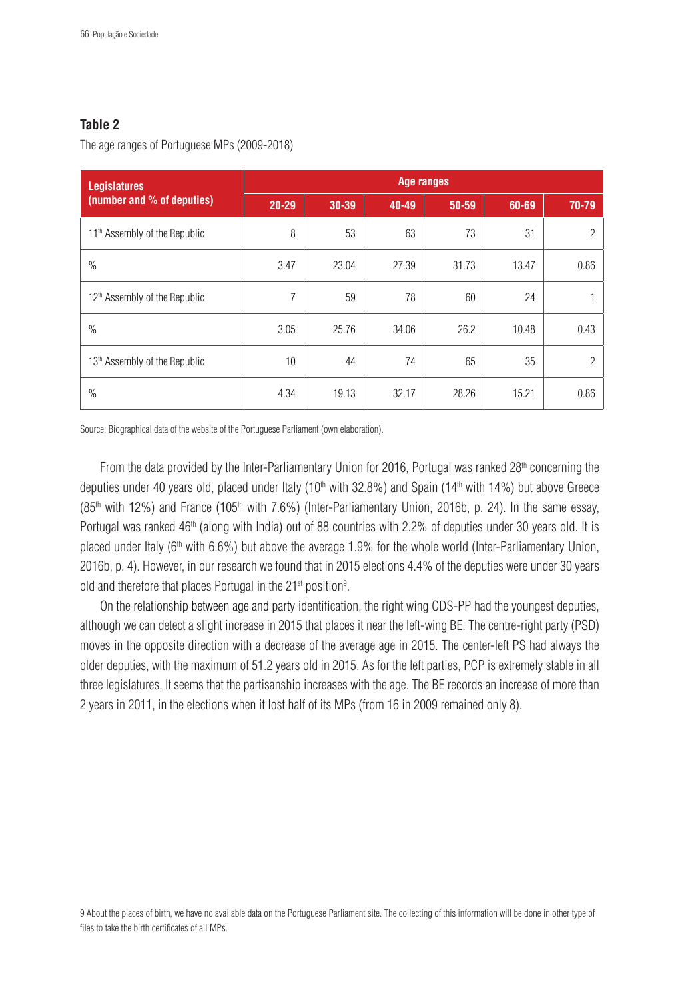# **Table 2**

The age ranges of Portuguese MPs (2009-2018)

| <b>Legislatures</b>                       | Age ranges     |       |       |       |       |                |  |  |  |  |
|-------------------------------------------|----------------|-------|-------|-------|-------|----------------|--|--|--|--|
| (number and % of deputies)                | $20 - 29$      | 30-39 | 40-49 | 50-59 | 60-69 | 70-79          |  |  |  |  |
| 11 <sup>th</sup> Assembly of the Republic | 8              | 53    | 63    | 73    | 31    | $\overline{2}$ |  |  |  |  |
| $\%$                                      | 3.47           | 23.04 | 27.39 | 31.73 | 13.47 | 0.86           |  |  |  |  |
| 12 <sup>th</sup> Assembly of the Republic | $\overline{7}$ | 59    | 78    | 60    | 24    |                |  |  |  |  |
| $\%$                                      | 3.05           | 25.76 | 34.06 | 26.2  | 10.48 | 0.43           |  |  |  |  |
| 13 <sup>th</sup> Assembly of the Republic | 10             | 44    | 74    | 65    | 35    | 2              |  |  |  |  |
| $\%$                                      | 4.34           | 19.13 | 32.17 | 28.26 | 15.21 | 0.86           |  |  |  |  |

Source: Biographical data of the website of the Portuguese Parliament (own elaboration).

From the data provided by the Inter-Parliamentary Union for 2016, Portugal was ranked  $28<sup>th</sup>$  concerning the deputies under 40 years old, placed under Italy (10<sup>th</sup> with 32.8%) and Spain (14<sup>th</sup> with 14%) but above Greece (85<sup>th</sup> with 12%) and France (105<sup>th</sup> with 7.6%) (Inter-Parliamentary Union, 2016b, p. 24). In the same essay, Portugal was ranked 46<sup>th</sup> (along with India) out of 88 countries with 2.2% of deputies under 30 years old. It is placed under Italy (6<sup>th</sup> with 6.6%) but above the average 1.9% for the whole world (Inter-Parliamentary Union, 2016b, p. 4). However, in our research we found that in 2015 elections 4.4% of the deputies were under 30 years old and therefore that places Portugal in the 21 $\mathrm{^{st}}$  position $\mathrm{^{9}}$ .

On the relationship between age and party identification, the right wing CDS-PP had the youngest deputies, although we can detect a slight increase in 2015 that places it near the left-wing BE. The centre-right party (PSD) moves in the opposite direction with a decrease of the average age in 2015. The center-left PS had always the older deputies, with the maximum of 51.2 years old in 2015. As for the left parties, PCP is extremely stable in all three legislatures. It seems that the partisanship increases with the age. The BE records an increase of more than 2 years in 2011, in the elections when it lost half of its MPs (from 16 in 2009 remained only 8).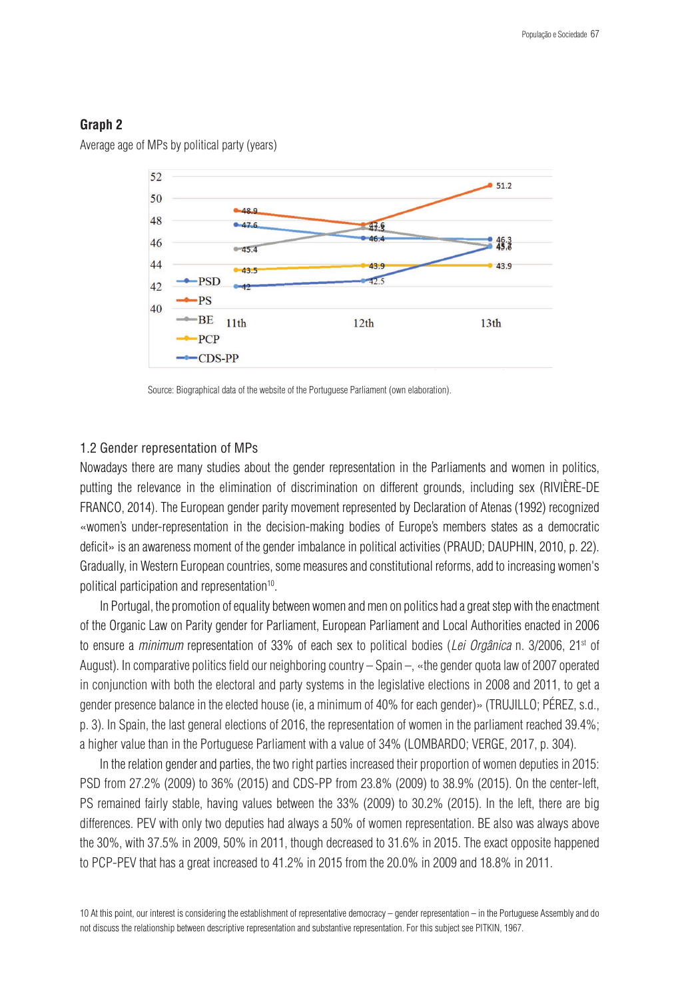## **Graph 2**

Average age of MPs by political party (years)



Source: Biographical data of the website of the Portuguese Parliament (own elaboration).

### 1.2 Gender representation of MPs

Nowadays there are many studies about the gender representation in the Parliaments and women in politics, putting the relevance in the elimination of discrimination on different grounds, including sex (RIVIÈRE-DE FRANCO, 2014). The European gender parity movement represented by Declaration of Atenas (1992) recognized «women's under-representation in the decision-making bodies of Europe's members states as a democratic deficit» is an awareness moment of the gender imbalance in political activities (PRAUD; DAUPHIN, 2010, p. 22). Gradually, in Western European countries, some measures and constitutional reforms, add to increasing women's political participation and representation<sup>10</sup>.

In Portugal, the promotion of equality between women and men on politics had a great step with the enactment of the Organic Law on Parity gender for Parliament, European Parliament and Local Authorities enacted in 2006 to ensure a *minimum* representation of 33% of each sex to political bodies (*Lei Orgânica* n. 3/2006, 21st of August). In comparative politics field our neighboring country – Spain –, «the gender quota law of 2007 operated in conjunction with both the electoral and party systems in the legislative elections in 2008 and 2011, to get a gender presence balance in the elected house (ie, a minimum of 40% for each gender)» (TRUJILLO; PÉREZ, s.d., p. 3). In Spain, the last general elections of 2016, the representation of women in the parliament reached 39.4%; a higher value than in the Portuguese Parliament with a value of 34% (LOMBARDO; VERGE, 2017, p. 304).

In the relation gender and parties, the two right parties increased their proportion of women deputies in 2015: PSD from 27.2% (2009) to 36% (2015) and CDS-PP from 23.8% (2009) to 38.9% (2015). On the center-left, PS remained fairly stable, having values between the 33% (2009) to 30.2% (2015). In the left, there are big differences. PEV with only two deputies had always a 50% of women representation. BE also was always above the 30%, with 37.5% in 2009, 50% in 2011, though decreased to 31.6% in 2015. The exact opposite happened to PCP-PEV that has a great increased to 41.2% in 2015 from the 20.0% in 2009 and 18.8% in 2011.

10 At this point, our interest is considering the establishment of representative democracy – gender representation – in the Portuguese Assembly and do not discuss the relationship between descriptive representation and substantive representation. For this subject see PITKIN, 1967.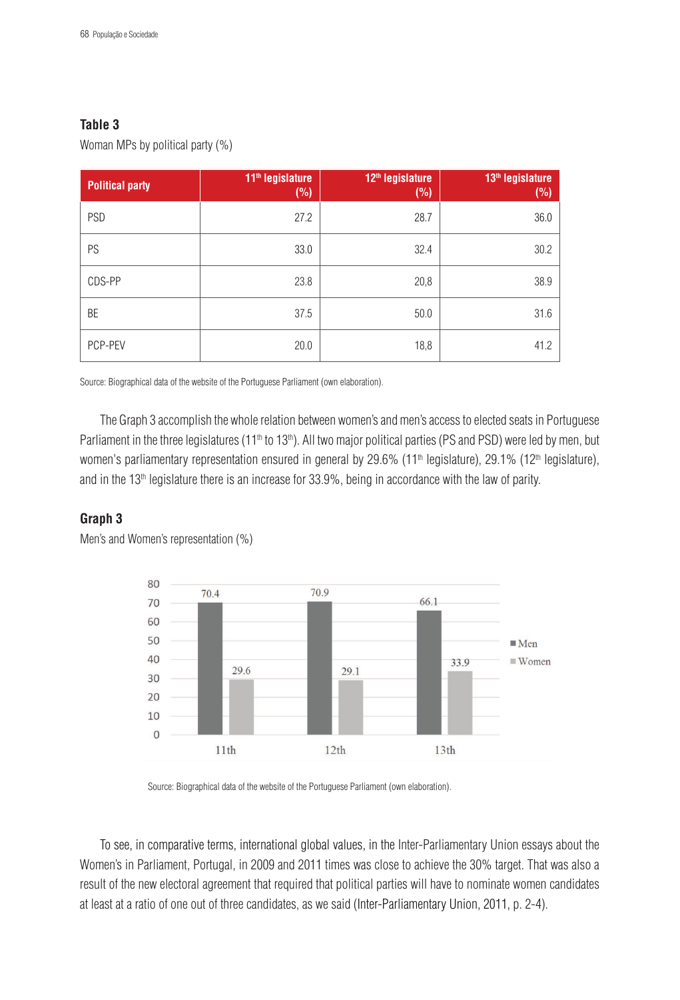# **Table 3**

Woman MPs by political party (%)

| <b>Political party</b> | 11 <sup>th</sup> legislature<br>(%) | 12 <sup>th</sup> legislature<br>(%) | 13 <sup>th</sup> legislature<br>(%) |
|------------------------|-------------------------------------|-------------------------------------|-------------------------------------|
| PSD                    | 27.2                                | 28.7                                | 36.0                                |
| PS                     | 33.0                                | 32.4                                | 30.2                                |
| CDS-PP                 | 23.8                                | 20,8                                | 38.9                                |
| BE                     | 37.5                                | 50.0                                | 31.6                                |
| PCP-PEV                | 20.0                                | 18,8                                | 41.2                                |

Source: Biographical data of the website of the Portuguese Parliament (own elaboration).

The Graph 3 accomplish the whole relation between women's and men's access to elected seats in Portuguese Parliament in the three legislatures (11<sup>th</sup> to 13<sup>th</sup>). All two major political parties (PS and PSD) were led by men, but women's parliamentary representation ensured in general by 29.6% (11<sup>th</sup> legislature), 29.1% (12<sup>th</sup> legislature), and in the  $13<sup>th</sup>$  legislature there is an increase for  $33.9\%$ , being in accordance with the law of parity.

# **Graph 3**



Men's and Women's representation (%)

Source: Biographical data of the website of the Portuguese Parliament (own elaboration).

To see, in comparative terms, international global values, in the Inter-Parliamentary Union essays about the Women's in Parliament, Portugal, in 2009 and 2011 times was close to achieve the 30% target. That was also a result of the new electoral agreement that required that political parties will have to nominate women candidates at least at a ratio of one out of three candidates, as we said (Inter-Parliamentary Union, 2011, p. 2-4).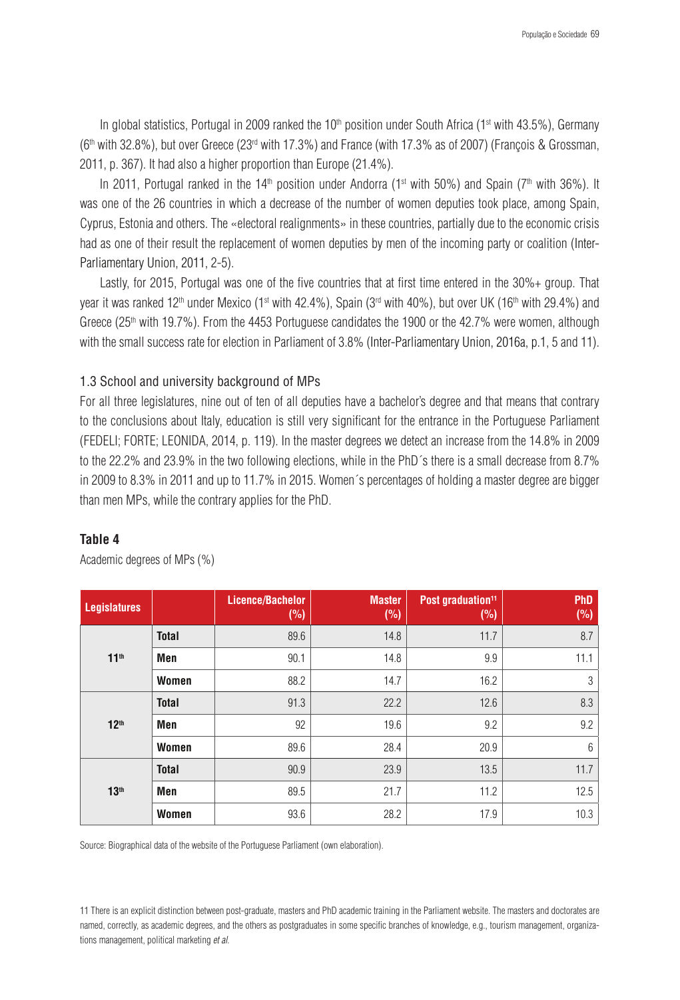In global statistics, Portugal in 2009 ranked the  $10<sup>th</sup>$  position under South Africa (1<sup>st</sup> with 43.5%), Germany ( $6<sup>th</sup>$  with 32.8%), but over Greece ( $23<sup>rd</sup>$  with 17.3%) and France (with 17.3% as of 2007) (François & Grossman, 2011, p. 367). It had also a higher proportion than Europe (21.4%).

In 2011, Portugal ranked in the 14<sup>th</sup> position under Andorra (1<sup>st</sup> with 50%) and Spain (7<sup>th</sup> with 36%). It was one of the 26 countries in which a decrease of the number of women deputies took place, among Spain, Cyprus, Estonia and others. The «electoral realignments» in these countries, partially due to the economic crisis had as one of their result the replacement of women deputies by men of the incoming party or coalition (Inter-Parliamentary Union, 2011, 2-5).

Lastly, for 2015, Portugal was one of the five countries that at first time entered in the 30%+ group. That year it was ranked 12<sup>th</sup> under Mexico (1<sup>st</sup> with 42.4%), Spain (3<sup>rd</sup> with 40%), but over UK (16<sup>th</sup> with 29.4%) and Greece (25<sup>th</sup> with 19.7%). From the 4453 Portuguese candidates the 1900 or the 42.7% were women, although with the small success rate for election in Parliament of 3.8% (Inter-Parliamentary Union, 2016a, p.1, 5 and 11).

## 1.3 School and university background of MPs

For all three legislatures, nine out of ten of all deputies have a bachelor's degree and that means that contrary to the conclusions about Italy, education is still very significant for the entrance in the Portuguese Parliament (FEDELI; FORTE; LEONIDA, 2014, p. 119). In the master degrees we detect an increase from the 14.8% in 2009 to the 22.2% and 23.9% in the two following elections, while in the PhD´s there is a small decrease from 8.7% in 2009 to 8.3% in 2011 and up to 11.7% in 2015. Women´s percentages of holding a master degree are bigger than men MPs, while the contrary applies for the PhD.

## **Table 4**

| <b>Legislatures</b> |              | <b>Licence/Bachelor</b><br>(%) | <b>Master</b><br>(%) | Post graduation <sup>11</sup><br>(%) | PhD<br>(%) |
|---------------------|--------------|--------------------------------|----------------------|--------------------------------------|------------|
|                     | <b>Total</b> | 89.6                           | 14.8                 | 11.7                                 | 8.7        |
| $11^{th}$           | Men          | 90.1                           | 14.8                 | 9.9                                  | 11.1       |
|                     | Women        | 88.2                           | 14.7                 | 16.2                                 | 3          |
|                     | <b>Total</b> | 91.3                           | 22.2                 | 12.6                                 | 8.3        |
| 12 <sup>th</sup>    | Men          | 92                             | 19.6                 | 9.2                                  | 9.2        |
|                     | Women        | 89.6                           | 28.4                 | 20.9                                 | 6          |
|                     | <b>Total</b> | 90.9                           | 23.9                 | 13.5                                 | 11.7       |
| 13 <sup>th</sup>    | Men          | 89.5                           | 21.7                 | 11.2                                 | 12.5       |
|                     | Women        | 93.6                           | 28.2                 | 17.9                                 | 10.3       |

Academic degrees of MPs (%)

Source: Biographical data of the website of the Portuguese Parliament (own elaboration).

11 There is an explicit distinction between post-graduate, masters and PhD academic training in the Parliament website. The masters and doctorates are named, correctly, as academic degrees, and the others as postgraduates in some specific branches of knowledge, e.g., tourism management, organizations management, political marketing *et al*.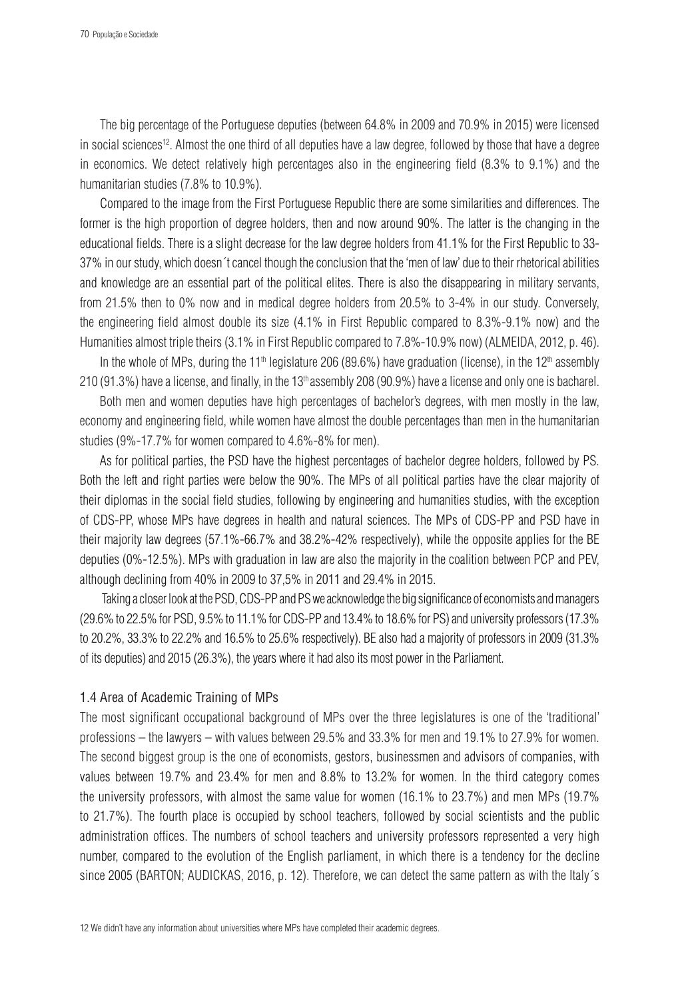The big percentage of the Portuguese deputies (between 64.8% in 2009 and 70.9% in 2015) were licensed in social sciences12. Almost the one third of all deputies have a law degree, followed by those that have a degree in economics. We detect relatively high percentages also in the engineering field (8.3% to 9.1%) and the humanitarian studies (7.8% to 10.9%).

Compared to the image from the First Portuguese Republic there are some similarities and differences. The former is the high proportion of degree holders, then and now around 90%. The latter is the changing in the educational fields. There is a slight decrease for the law degree holders from 41.1% for the First Republic to 33- 37% in our study, which doesn´t cancel though the conclusion that the 'men of law' due to their rhetorical abilities and knowledge are an essential part of the political elites. There is also the disappearing in military servants, from 21.5% then to 0% now and in medical degree holders from 20.5% to 3-4% in our study. Conversely, the engineering field almost double its size (4.1% in First Republic compared to 8.3%-9.1% now) and the Humanities almost triple theirs (3.1% in First Republic compared to 7.8%-10.9% now) (ALMEIDA, 2012, p. 46).

In the whole of MPs, during the 11<sup>th</sup> legislature 206 (89.6%) have graduation (license), in the 12<sup>th</sup> assembly 210 (91.3%) have a license, and finally, in the  $13<sup>th</sup>$  assembly 208 (90.9%) have a license and only one is bacharel.

Both men and women deputies have high percentages of bachelor's degrees, with men mostly in the law, economy and engineering field, while women have almost the double percentages than men in the humanitarian studies (9%-17.7% for women compared to 4.6%-8% for men).

As for political parties, the PSD have the highest percentages of bachelor degree holders, followed by PS. Both the left and right parties were below the 90%. The MPs of all political parties have the clear majority of their diplomas in the social field studies, following by engineering and humanities studies, with the exception of CDS-PP, whose MPs have degrees in health and natural sciences. The MPs of CDS-PP and PSD have in their majority law degrees (57.1%-66.7% and 38.2%-42% respectively), while the opposite applies for the BE deputies (0%-12.5%). MPs with graduation in law are also the majority in the coalition between PCP and PEV, although declining from 40% in 2009 to 37,5% in 2011 and 29.4% in 2015.

 Taking a closer look at the PSD, CDS-PP and PS we acknowledge the big significance of economists and managers (29.6% to 22.5% for PSD, 9.5% to 11.1% for CDS-PP and 13.4% to 18.6% for PS) and university professors (17.3% to 20.2%, 33.3% to 22.2% and 16.5% to 25.6% respectively). BE also had a majority of professors in 2009 (31.3% of its deputies) and 2015 (26.3%), the years where it had also its most power in the Parliament.

### 1.4 Area of Academic Training of MPs

The most significant occupational background of MPs over the three legislatures is one of the 'traditional' professions – the lawyers – with values between 29.5% and 33.3% for men and 19.1% to 27.9% for women. The second biggest group is the one of economists, gestors, businessmen and advisors of companies, with values between 19.7% and 23.4% for men and 8.8% to 13.2% for women. In the third category comes the university professors, with almost the same value for women (16.1% to 23.7%) and men MPs (19.7% to 21.7%). The fourth place is occupied by school teachers, followed by social scientists and the public administration offices. The numbers of school teachers and university professors represented a very high number, compared to the evolution of the English parliament, in which there is a tendency for the decline since 2005 (BARTON; AUDICKAS, 2016, p. 12). Therefore, we can detect the same pattern as with the Italy´s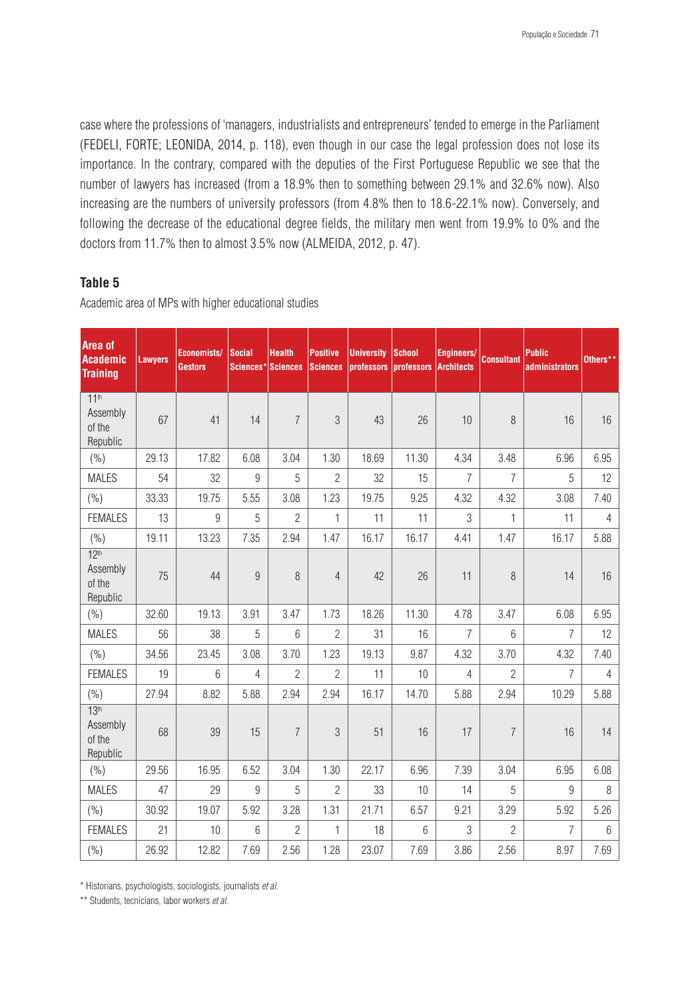case where the professions of 'managers, industrialists and entrepreneurs' tended to emerge in the Parliament (FEDELI, FORTE; LEONIDA, 2014, p. 118), even though in our case the legal profession does not lose its importance. In the contrary, compared with the deputies of the First Portuguese Republic we see that the number of lawyers has increased (from a 18.9% then to something between 29.1% and 32.6% now). Also increasing are the numbers of university professors (from 4.8% then to 18.6-22.1% now). Conversely, and following the decrease of the educational degree fields, the military men went from 19.9% to 0% and the doctors from 11.7% then to almost 3.5% now (ALMEIDA, 2012, p. 47).

# **Table 5**

**Area of Academic Training Lawyers Economists/ Gestors Social Sciences\* Sciences Health Positive Sciences University School professors professors Architects Engineers/ Consultant Public administrators Others\*\*** 11<sup>th</sup> Assembly of the Republic  $67$  41 14 7 3 43 26 10 8 16 16  $(%)$  | 29.13 | 17.82 | 6.08 | 3.04 | 1.30 | 18.69 | 11.30 | 4.34 | 3.48 | 6.95 | 6.95 MALES | 54 | 32 | 9 | 5 | 2 | 32 | 15 | 7 | 7 | 5 | 12 (%) | 33.33 | 19.75 | 5.55 | 3.08 | 1.23 | 19.75 | 9.25 | 4.32 | 4.32 | 3.08 | 7.40 FEMALES | 13 | 9 | 5 | 2 | 1 | 11 | 11 | 3 | 1 | 11 | 4 (%) | 19.11 | 13.23 | 7.35 | 2.94 | 1.47 | 16.17 | 4.51 | 1.47 | 1.47 | 16.17 | 5.88  $12<sup>th</sup>$ Assembly of the Republic 75 | 44 | 9 | 8 | 4 | 42 | 26 | 11 | 8 | 14 | 16 (%) | 32.60 | 19.13 | 3.91 | 3.47 | 1.73 | 18.26 | 11.30 | 4.78 | 3.47 | 6.08 | 6.95 MALES | 56 | 38 | 5 | 6 | 2 | 31 | 16 | 7 | 6 | 7 | 12 (%) 34.56 23.45 3.08 3.70 1.23 19.13 9.87 4.32 3.70 4.32 7.40 FEMALES | 19 | 6 | 4 | 2 | 2 | 11 | 10 | 4 | 2 | 7 | 4 (%) | 27.94 | 8.82 | 5.88 | 2.94 | 2.94 | 16.17 | 14.70 | 5.88 | 2.94 | 10.29 | 5.88  $13<sup>th</sup>$ Assembly of the Republic 68 | 39 | 15 | 7 | 3 | 51 | 16 | 17 | 7 | 16 | 14  $(\%)$  | 29.56 | 16.95 | 6.52 | 3.04 | 1.30 | 22.17 | 6.96 | 7.39 | 3.04 | 6.95 | 6.08 MALES | 47 | 29 | 9 | 5 | 2 | 33 | 10 | 14 | 5 | 9 | 8 (%) | 30.92 | 19.07 | 5.92 | 3.28 | 1.31 | 21.71 | 6.57 | 9.21 | 3.29 | 5.92 | 5.26 FEMALES | 21 | 10 | 6 | 2 | 1 | 18 | 6 | 3 | 2 | 7 | 6 (%) | 26.92 | 12.82 | 7.69 | 2.56 | 1.28 | 23.07 | 7.69 | 3.86 | 2.56 | 8.97 | 7.69

Academic area of MPs with higher educational studies

\* Historians, psychologists, sociologists, journalists *et al*.

\*\* Students, tecnicians, labor workers *et al*.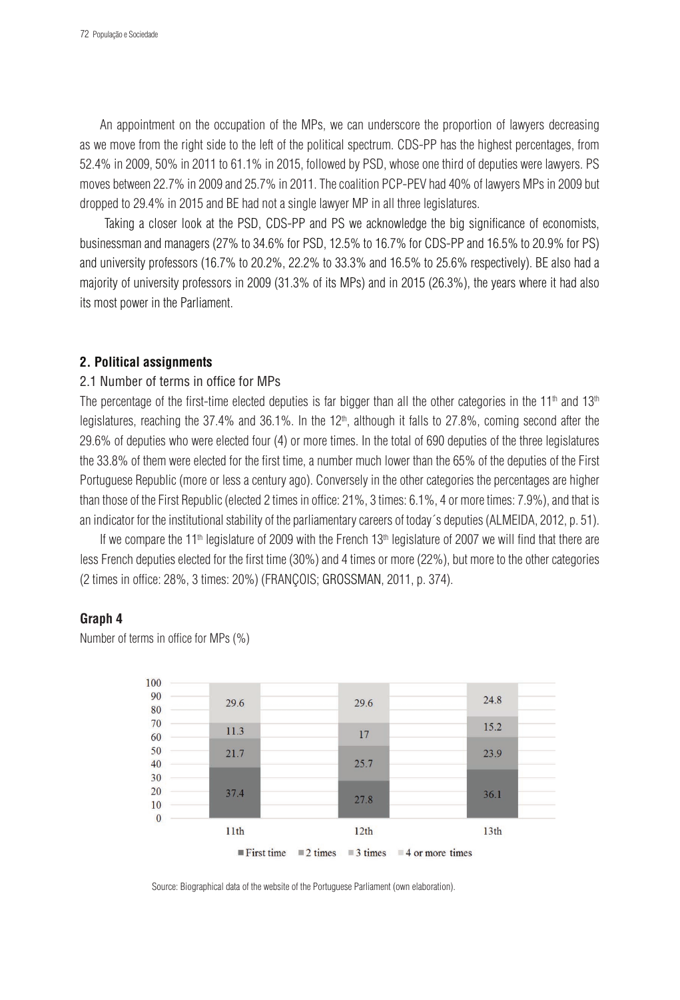An appointment on the occupation of the MPs, we can underscore the proportion of lawyers decreasing as we move from the right side to the left of the political spectrum. CDS-PP has the highest percentages, from 52.4% in 2009, 50% in 2011 to 61.1% in 2015, followed by PSD, whose one third of deputies were lawyers. PS moves between 22.7% in 2009 and 25.7% in 2011. The coalition PCP-PEV had 40% of lawyers MPs in 2009 but dropped to 29.4% in 2015 and BE had not a single lawyer MP in all three legislatures.

 Taking a closer look at the PSD, CDS-PP and PS we acknowledge the big significance of economists, businessman and managers (27% to 34.6% for PSD, 12.5% to 16.7% for CDS-PP and 16.5% to 20.9% for PS) and university professors (16.7% to 20.2%, 22.2% to 33.3% and 16.5% to 25.6% respectively). BE also had a majority of university professors in 2009 (31.3% of its MPs) and in 2015 (26.3%), the years where it had also its most power in the Parliament.

### **2. Political assignments**

### 2.1 Number of terms in office for MPs

The percentage of the first-time elected deputies is far bigger than all the other categories in the 11<sup>th</sup> and 13<sup>th</sup> legislatures, reaching the 37.4% and 36.1%. In the  $12<sup>th</sup>$ , although it falls to 27.8%, coming second after the 29.6% of deputies who were elected four (4) or more times. In the total of 690 deputies of the three legislatures the 33.8% of them were elected for the first time, a number much lower than the 65% of the deputies of the First Portuguese Republic (more or less a century ago). Conversely in the other categories the percentages are higher than those of the First Republic (elected 2 times in office: 21%, 3 times: 6.1%, 4 or more times: 7.9%), and that is an indicator for the institutional stability of the parliamentary careers of today´s deputies (ALMEIDA, 2012, p. 51).

If we compare the 11<sup>th</sup> legislature of 2009 with the French 13<sup>th</sup> legislature of 2007 we will find that there are less French deputies elected for the first time (30%) and 4 times or more (22%), but more to the other categories (2 times in office: 28%, 3 times: 20%) (FRANÇOIS; GROSSMAN, 2011, p. 374).

## **Graph 4**

Number of terms in office for MPs (%)



Source: Biographical data of the website of the Portuguese Parliament (own elaboration).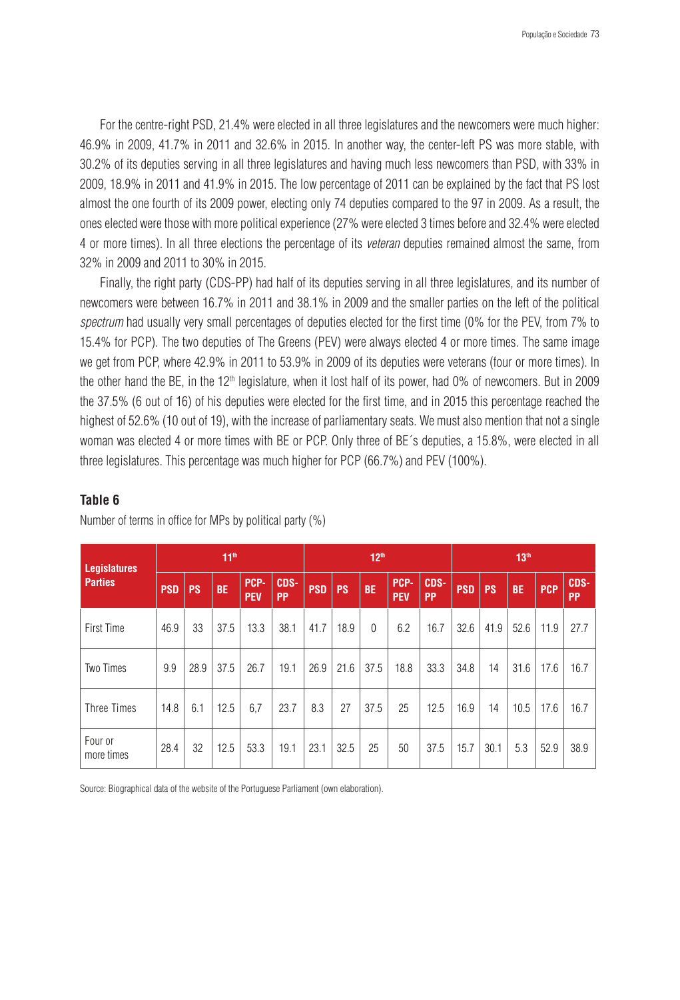For the centre-right PSD, 21.4% were elected in all three legislatures and the newcomers were much higher: 46.9% in 2009, 41.7% in 2011 and 32.6% in 2015. In another way, the center-left PS was more stable, with 30.2% of its deputies serving in all three legislatures and having much less newcomers than PSD, with 33% in 2009, 18.9% in 2011 and 41.9% in 2015. The low percentage of 2011 can be explained by the fact that PS lost almost the one fourth of its 2009 power, electing only 74 deputies compared to the 97 in 2009. As a result, the ones elected were those with more political experience (27% were elected 3 times before and 32.4% were elected 4 or more times). In all three elections the percentage of its *veteran* deputies remained almost the same, from 32% in 2009 and 2011 to 30% in 2015.

Finally, the right party (CDS-PP) had half of its deputies serving in all three legislatures, and its number of newcomers were between 16.7% in 2011 and 38.1% in 2009 and the smaller parties on the left of the political *spectrum* had usually very small percentages of deputies elected for the first time (0% for the PEV, from 7% to 15.4% for PCP). The two deputies of The Greens (PEV) were always elected 4 or more times. The same image we get from PCP, where 42.9% in 2011 to 53.9% in 2009 of its deputies were veterans (four or more times). In the other hand the BE, in the 12<sup>th</sup> legislature, when it lost half of its power, had 0% of newcomers. But in 2009 the 37.5% (6 out of 16) of his deputies were elected for the first time, and in 2015 this percentage reached the highest of 52.6% (10 out of 19), with the increase of parliamentary seats. We must also mention that not a single woman was elected 4 or more times with BE or PCP. Only three of BE´s deputies, a 15.8%, were elected in all three legislatures. This percentage was much higher for PCP (66.7%) and PEV (100%).

# **Table 6**

| <b>Legislatures</b>   | $11^{th}$  |           |           |                    | 12 <sup>th</sup>  |            |           |           | 13 <sup>th</sup>   |                   |            |           |           |            |                   |
|-----------------------|------------|-----------|-----------|--------------------|-------------------|------------|-----------|-----------|--------------------|-------------------|------------|-----------|-----------|------------|-------------------|
| <b>Parties</b>        | <b>PSD</b> | <b>PS</b> | <b>BE</b> | PCP-<br><b>PEV</b> | CDS-<br><b>PP</b> | <b>PSD</b> | <b>PS</b> | <b>BE</b> | PCP-<br><b>PEV</b> | CDS-<br><b>PP</b> | <b>PSD</b> | <b>PS</b> | <b>BE</b> | <b>PCP</b> | CDS-<br><b>PP</b> |
| <b>First Time</b>     | 46.9       | 33        | 37.5      | 13.3               | 38.1              | 41.7       | 18.9      | $\theta$  | 6.2                | 16.7              | 32.6       | 41.9      | 52.6      | 11.9       | 27.7              |
| Two Times             | 9.9        | 28.9      | 37.5      | 26.7               | 19.1              | 26.9       | 21.6      | 37.5      | 18.8               | 33.3              | 34.8       | 14        | 31.6      | 17.6       | 16.7              |
| Three Times           | 14.8       | 6.1       | 12.5      | 6,7                | 23.7              | 8.3        | 27        | 37.5      | 25                 | 12.5              | 16.9       | 14        | 10.5      | 17.6       | 16.7              |
| Four or<br>more times | 28.4       | 32        | 12.5      | 53.3               | 19.1              | 23.1       | 32.5      | 25        | 50                 | 37.5              | 15.7       | 30.1      | 5.3       | 52.9       | 38.9              |

Number of terms in office for MPs by political party (%)

Source: Biographical data of the website of the Portuguese Parliament (own elaboration).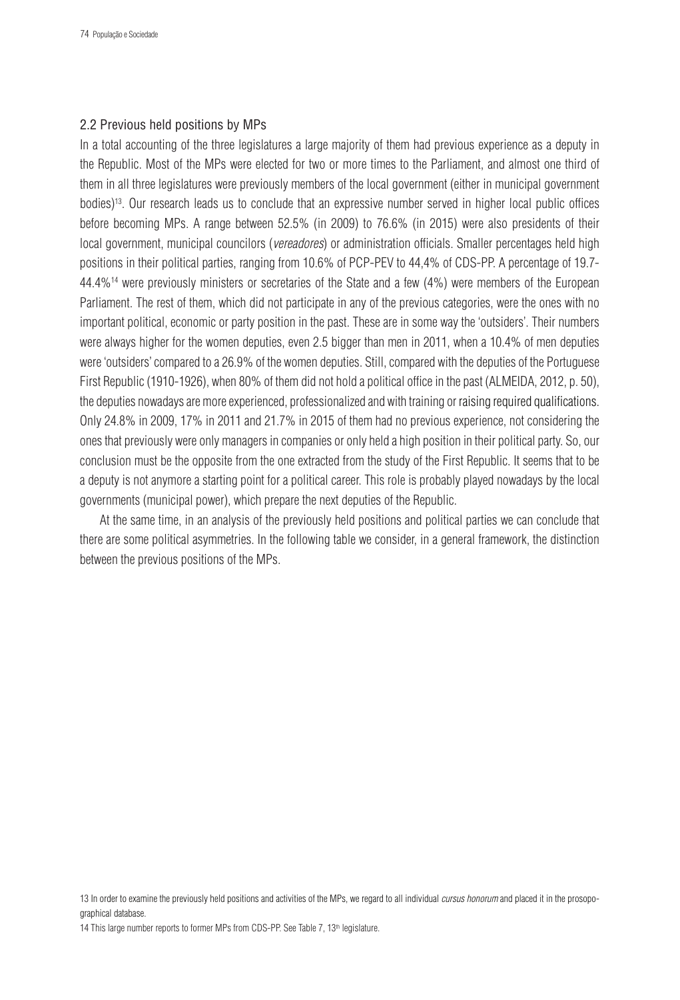### 2.2 Previous held positions by MPs

In a total accounting of the three legislatures a large majority of them had previous experience as a deputy in the Republic. Most of the MPs were elected for two or more times to the Parliament, and almost one third of them in all three legislatures were previously members of the local government (either in municipal government bodies)13. Our research leads us to conclude that an expressive number served in higher local public offices before becoming MPs. A range between 52.5% (in 2009) to 76.6% (in 2015) were also presidents of their local government, municipal councilors (*vereadores*) or administration officials. Smaller percentages held high positions in their political parties, ranging from 10.6% of PCP-PEV to 44,4% of CDS-PP. A percentage of 19.7- 44.4%14 were previously ministers or secretaries of the State and a few (4%) were members of the European Parliament. The rest of them, which did not participate in any of the previous categories, were the ones with no important political, economic or party position in the past. These are in some way the 'outsiders'. Their numbers were always higher for the women deputies, even 2.5 bigger than men in 2011, when a 10.4% of men deputies were 'outsiders' compared to a 26.9% of the women deputies. Still, compared with the deputies of the Portuguese First Republic (1910-1926), when 80% of them did not hold a political office in the past (ALMEIDA, 2012, p. 50), the deputies nowadays are more experienced, professionalized and with training or raising required qualifications. Only 24.8% in 2009, 17% in 2011 and 21.7% in 2015 of them had no previous experience, not considering the ones that previously were only managers in companies or only held a high position in their political party. So, our conclusion must be the opposite from the one extracted from the study of the First Republic. It seems that to be a deputy is not anymore a starting point for a political career. This role is probably played nowadays by the local governments (municipal power), which prepare the next deputies of the Republic.

At the same time, in an analysis of the previously held positions and political parties we can conclude that there are some political asymmetries. In the following table we consider, in a general framework, the distinction between the previous positions of the MPs.

<sup>13</sup> In order to examine the previously held positions and activities of the MPs, we regard to all individual *cursus honorum* and placed it in the prosopographical database.

<sup>14</sup> This large number reports to former MPs from CDS-PP. See Table 7, 13<sup>th</sup> legislature.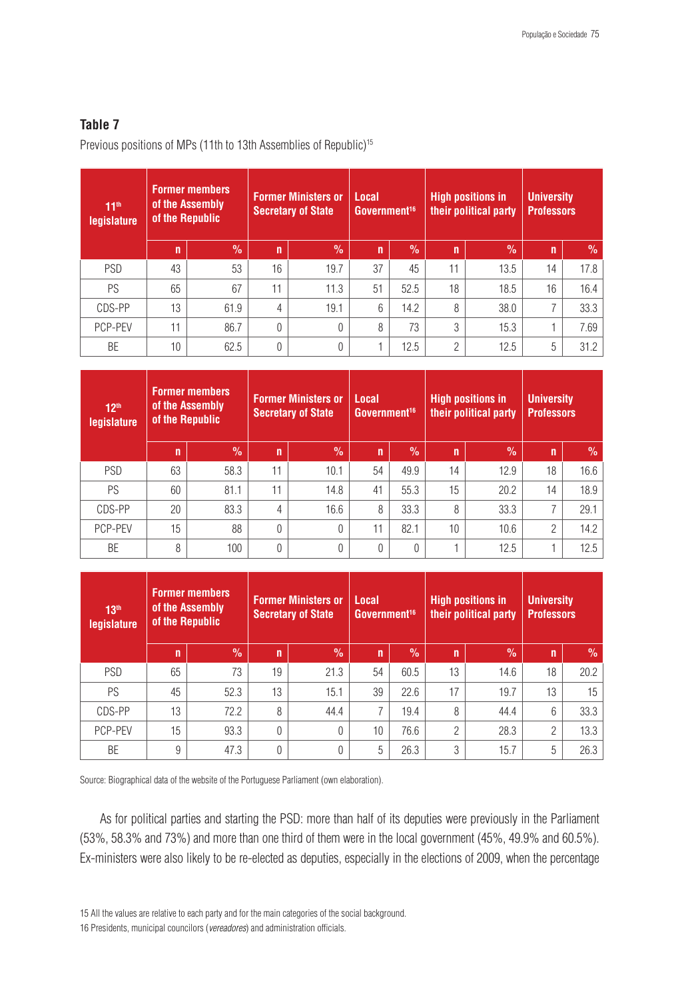# **Table 7**

Previous positions of MPs (11th to 13th Assemblies of Republic)<sup>15</sup>

| 11 <sup>th</sup><br>legislature | <b>Former members</b><br>of the Assembly<br>of the Republic |            |              | <b>Former Ministers or</b><br><b>Secretary of State</b> | Local<br>Government <sup>16</sup> |      |                | <b>High positions in</b><br>their political party | <b>University</b><br><b>Professors</b> |               |
|---------------------------------|-------------------------------------------------------------|------------|--------------|---------------------------------------------------------|-----------------------------------|------|----------------|---------------------------------------------------|----------------------------------------|---------------|
|                                 | n                                                           | $\sqrt{2}$ | $\mathsf{n}$ | $\frac{9}{6}$                                           | $\mathbf n$                       | $\%$ | $\mathsf{n}$   | $\overline{\mathcal{C}}$                          | n'                                     | $\frac{9}{6}$ |
| <b>PSD</b>                      | 43                                                          | 53         | 16           | 19.7                                                    | 37                                | 45   | 11             | 13.5                                              | 14                                     | 17.8          |
| PS                              | 65                                                          | 67         | 11           | 11.3                                                    | 51                                | 52.5 | 18             | 18.5                                              | 16                                     | 16.4          |
| CDS-PP                          | 13                                                          | 61.9       | 4            | 19.1                                                    | 6                                 | 14.2 | 8              | 38.0                                              | $\overline{ }$                         | 33.3          |
| PCP-PEV                         | 11                                                          | 86.7       | $\theta$     | $\Omega$                                                | 8                                 | 73   | 3              | 15.3                                              |                                        | 7.69          |
| BE                              | 10 <sup>1</sup>                                             | 62.5       | 0            | $\theta$                                                |                                   | 12.5 | $\overline{2}$ | 12.5                                              | 5                                      | 31.2          |

| 12 <sup>th</sup><br>legislature | <b>Former members</b><br>of the Assembly<br>of the Republic |               | <b>Former Ministers or</b><br><b>Secretary of State</b> |               | Local<br>Government <sup>16</sup> |      |    | <b>High positions in</b><br>their political party | <b>University</b><br><b>Professors</b> |               |
|---------------------------------|-------------------------------------------------------------|---------------|---------------------------------------------------------|---------------|-----------------------------------|------|----|---------------------------------------------------|----------------------------------------|---------------|
|                                 | n                                                           | $\frac{0}{0}$ | n                                                       | $\frac{9}{6}$ | n                                 | $\%$ | n  | $\frac{0}{0}$                                     | n                                      | $\frac{9}{6}$ |
| <b>PSD</b>                      | 63                                                          | 58.3          | 11                                                      | 10.1          | 54                                | 49.9 | 14 | 12.9                                              | 18                                     | 16.6          |
| PS                              | 60                                                          | 81.1          | 11                                                      | 14.8          | 41                                | 55.3 | 15 | 20.2                                              | 14                                     | 18.9          |
| CDS-PP                          | 20                                                          | 83.3          | 4                                                       | 16.6          | 8                                 | 33.3 | 8  | 33.3                                              | 7                                      | 29.1          |
| PCP-PEV                         | 15                                                          | 88            | 0                                                       | $\Omega$      | 11                                | 82.1 | 10 | 10.6                                              | $\overline{2}$                         | 14.2          |
| BE                              | 8                                                           | 100           | 0                                                       | $\Omega$      | 0                                 | 0    |    | 12.5                                              |                                        | 12.5          |

| 13 <sup>th</sup><br><b>legislature</b> |    | <b>Former members</b><br>of the Assembly<br>of the Republic |              | <b>Former Ministers or</b><br><b>Secretary of State</b> | <b>Local</b><br>Government <sup>16</sup> |               | <b>High positions in</b><br>their political party |            | <b>University</b><br><b>Professors</b> |               |
|----------------------------------------|----|-------------------------------------------------------------|--------------|---------------------------------------------------------|------------------------------------------|---------------|---------------------------------------------------|------------|----------------------------------------|---------------|
|                                        | n  | $\frac{9}{6}$                                               | $\mathsf{n}$ | $\frac{9}{6}$                                           | $\mathbf n$                              | $\frac{9}{6}$ | $\mathsf{n}$                                      | $\sqrt{2}$ | n                                      | $\frac{9}{6}$ |
| <b>PSD</b>                             | 65 | 73                                                          | 19           | 21.3                                                    | 54                                       | 60.5          | 13                                                | 14.6       | 18                                     | 20.2          |
| PS                                     | 45 | 52.3                                                        | 13           | 15.1                                                    | 39                                       | 22.6          | 17                                                | 19.7       | 13                                     | 15            |
| CDS-PP                                 | 13 | 72.2                                                        | 8            | 44.4                                                    |                                          | 19.4          | 8                                                 | 44.4       | 6                                      | 33.3          |
| PCP-PEV                                | 15 | 93.3                                                        | 0            | $\Omega$                                                | 10                                       | 76.6          | $\overline{2}$                                    | 28.3       | $\overline{2}$                         | 13.3          |
| BE                                     | 9  | 47.3                                                        | 0            |                                                         | 5                                        | 26.3          | 3                                                 | 15.7       | 5                                      | 26.3          |

Source: Biographical data of the website of the Portuguese Parliament (own elaboration).

As for political parties and starting the PSD: more than half of its deputies were previously in the Parliament (53%, 58.3% and 73%) and more than one third of them were in the local government (45%, 49.9% and 60.5%). Ex-ministers were also likely to be re-elected as deputies, especially in the elections of 2009, when the percentage

15 All the values are relative to each party and for the main categories of the social background. 16 Presidents, municipal councilors (*vereadores*) and administration officials.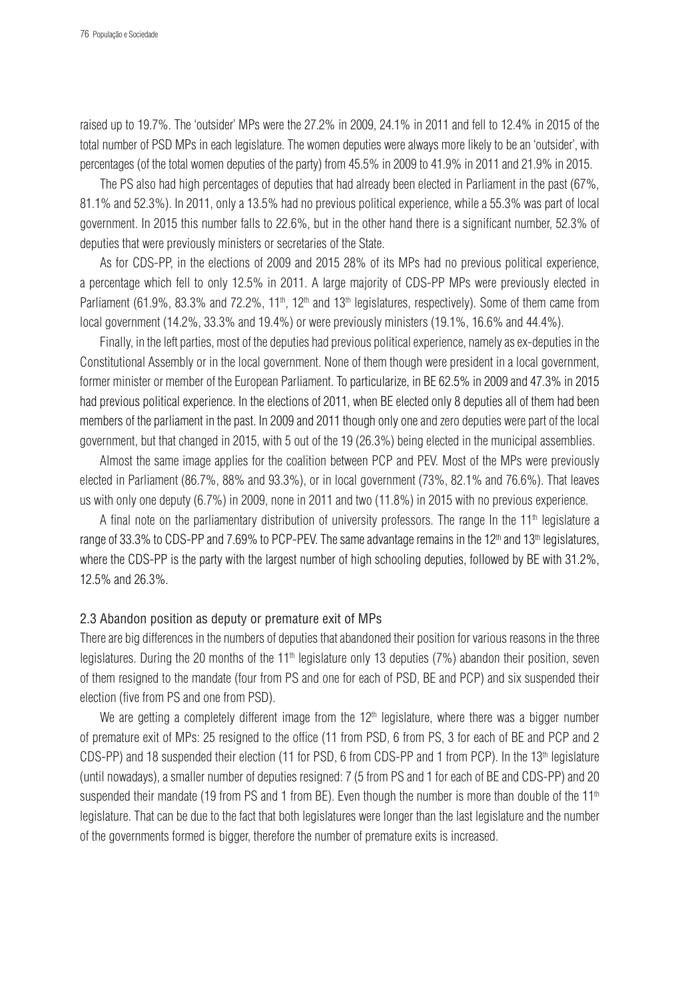raised up to 19.7%. The 'outsider' MPs were the 27.2% in 2009, 24.1% in 2011 and fell to 12.4% in 2015 of the total number of PSD MPs in each legislature. The women deputies were always more likely to be an 'outsider', with percentages (of the total women deputies of the party) from 45.5% in 2009 to 41.9% in 2011 and 21.9% in 2015.

The PS also had high percentages of deputies that had already been elected in Parliament in the past (67%, 81.1% and 52.3%). In 2011, only a 13.5% had no previous political experience, while a 55.3% was part of local government. In 2015 this number falls to 22.6%, but in the other hand there is a significant number, 52.3% of deputies that were previously ministers or secretaries of the State.

As for CDS-PP, in the elections of 2009 and 2015 28% of its MPs had no previous political experience, a percentage which fell to only 12.5% in 2011. A large majority of CDS-PP MPs were previously elected in Parliament (61.9%, 83.3% and 72.2%, 11<sup>th</sup>, 12<sup>th</sup> and 13<sup>th</sup> legislatures, respectively). Some of them came from local government (14.2%, 33.3% and 19.4%) or were previously ministers (19.1%, 16.6% and 44.4%).

Finally, in the left parties, most of the deputies had previous political experience, namely as ex-deputies in the Constitutional Assembly or in the local government. None of them though were president in a local government, former minister or member of the European Parliament. To particularize, in BE 62.5% in 2009 and 47.3% in 2015 had previous political experience. In the elections of 2011, when BE elected only 8 deputies all of them had been members of the parliament in the past. In 2009 and 2011 though only one and zero deputies were part of the local government, but that changed in 2015, with 5 out of the 19 (26.3%) being elected in the municipal assemblies.

Almost the same image applies for the coalition between PCP and PEV. Most of the MPs were previously elected in Parliament (86.7%, 88% and 93.3%), or in local government (73%, 82.1% and 76.6%). That leaves us with only one deputy (6.7%) in 2009, none in 2011 and two (11.8%) in 2015 with no previous experience.

A final note on the parliamentary distribution of university professors. The range In the 11<sup>th</sup> legislature a range of 33.3% to CDS-PP and 7.69% to PCP-PEV. The same advantage remains in the 12<sup>th</sup> and 13<sup>th</sup> legislatures, where the CDS-PP is the party with the largest number of high schooling deputies, followed by BE with 31.2%, 12.5% and 26.3%.

### 2.3 Abandon position as deputy or premature exit of MPs

There are big differences in the numbers of deputies that abandoned their position for various reasons in the three legislatures. During the 20 months of the  $11<sup>th</sup>$  legislature only 13 deputies (7%) abandon their position, seven of them resigned to the mandate (four from PS and one for each of PSD, BE and PCP) and six suspended their election (five from PS and one from PSD).

We are getting a completely different image from the  $12<sup>th</sup>$  legislature, where there was a bigger number of premature exit of MPs: 25 resigned to the office (11 from PSD, 6 from PS, 3 for each of BE and PCP and 2 CDS-PP) and 18 suspended their election (11 for PSD, 6 from CDS-PP and 1 from PCP). In the 13<sup>th</sup> legislature (until nowadays), a smaller number of deputies resigned: 7 (5 from PS and 1 for each of BE and CDS-PP) and 20 suspended their mandate (19 from PS and 1 from BE). Even though the number is more than double of the  $11<sup>th</sup>$ legislature. That can be due to the fact that both legislatures were longer than the last legislature and the number of the governments formed is bigger, therefore the number of premature exits is increased.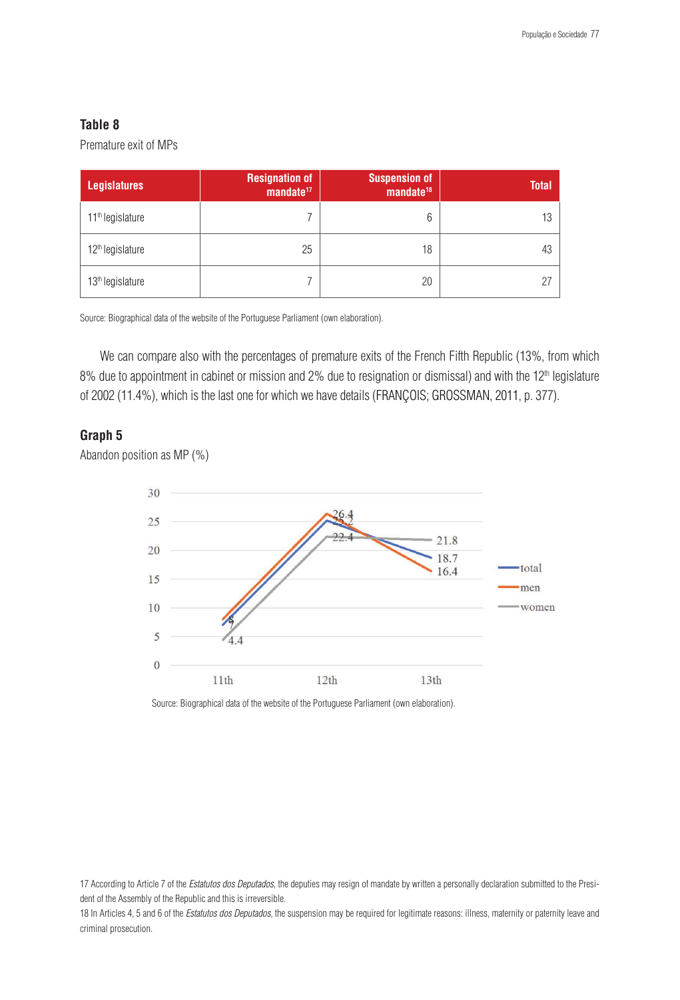## **Table 8**

Premature exit of MPs

| <b>Legislatures</b>          | <b>Resignation of</b><br>$m$ andate <sup>17</sup> | <b>Suspension of</b><br>$m$ andate <sup>18</sup> | <b>Total</b> |
|------------------------------|---------------------------------------------------|--------------------------------------------------|--------------|
| 11 <sup>th</sup> legislature |                                                   | 6                                                | 13           |
| 12 <sup>th</sup> legislature | 25                                                | 18                                               | 43           |
| 13 <sup>th</sup> legislature |                                                   | 20                                               |              |

Source: Biographical data of the website of the Portuguese Parliament (own elaboration).

We can compare also with the percentages of premature exits of the French Fifth Republic (13%, from which 8% due to appointment in cabinet or mission and 2% due to resignation or dismissal) and with the 12<sup>th</sup> legislature of 2002 (11.4%), which is the last one for which we have details (FRANÇOIS; GROSSMAN, 2011, p. 377).

# **Graph 5**

Abandon position as MP (%)



Source: Biographical data of the website of the Portuguese Parliament (own elaboration).

18 In Articles 4, 5 and 6 of the *Estatutos dos Deputados*, the suspension may be required for legitimate reasons: illness, maternity or paternity leave and criminal prosecution.

<sup>17</sup> According to Article 7 of the *Estatutos dos Deputados*, the deputies may resign of mandate by written a personally declaration submitted to the President of the Assembly of the Republic and this is irreversible.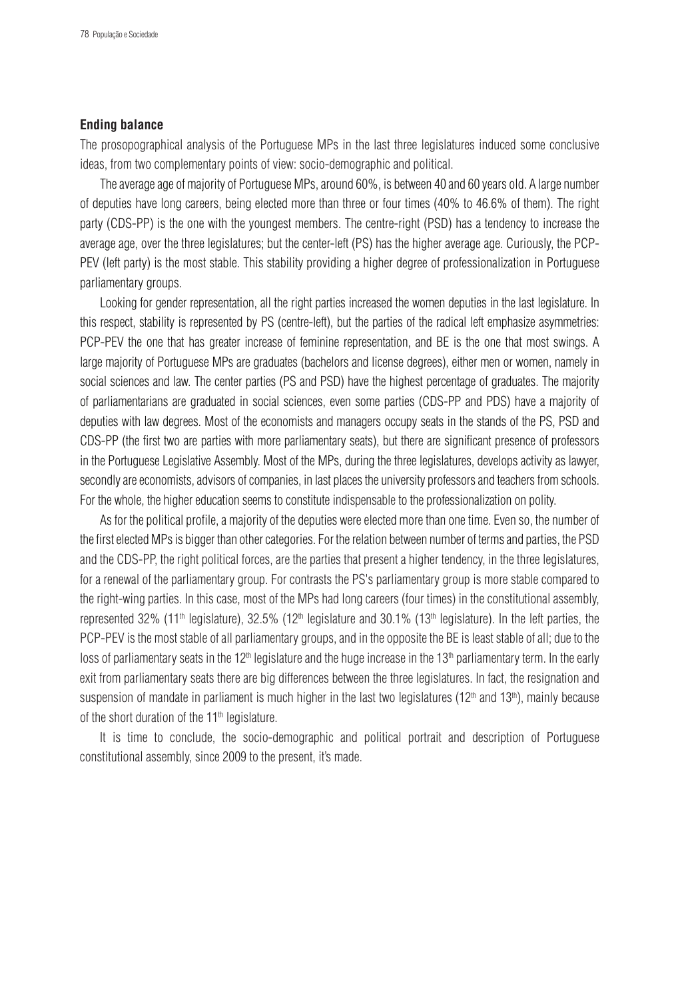#### **Ending balance**

The prosopographical analysis of the Portuguese MPs in the last three legislatures induced some conclusive ideas, from two complementary points of view: socio-demographic and political.

The average age of majority of Portuguese MPs, around 60%, is between 40 and 60 years old. A large number of deputies have long careers, being elected more than three or four times (40% to 46.6% of them). The right party (CDS-PP) is the one with the youngest members. The centre-right (PSD) has a tendency to increase the average age, over the three legislatures; but the center-left (PS) has the higher average age. Curiously, the PCP-PEV (left party) is the most stable. This stability providing a higher degree of professionalization in Portuguese parliamentary groups.

Looking for gender representation, all the right parties increased the women deputies in the last legislature. In this respect, stability is represented by PS (centre-left), but the parties of the radical left emphasize asymmetries: PCP-PEV the one that has greater increase of feminine representation, and BE is the one that most swings. A large majority of Portuguese MPs are graduates (bachelors and license degrees), either men or women, namely in social sciences and law. The center parties (PS and PSD) have the highest percentage of graduates. The majority of parliamentarians are graduated in social sciences, even some parties (CDS-PP and PDS) have a majority of deputies with law degrees. Most of the economists and managers occupy seats in the stands of the PS, PSD and CDS-PP (the first two are parties with more parliamentary seats), but there are significant presence of professors in the Portuguese Legislative Assembly. Most of the MPs, during the three legislatures, develops activity as lawyer, secondly are economists, advisors of companies, in last places the university professors and teachers from schools. For the whole, the higher education seems to constitute indispensable to the professionalization on polity.

As for the political profile, a majority of the deputies were elected more than one time. Even so, the number of the first elected MPs is bigger than other categories. For the relation between number of terms and parties, the PSD and the CDS-PP, the right political forces, are the parties that present a higher tendency, in the three legislatures, for a renewal of the parliamentary group. For contrasts the PS's parliamentary group is more stable compared to the right-wing parties. In this case, most of the MPs had long careers (four times) in the constitutional assembly, represented 32% (11<sup>th</sup> legislature), 32.5% (12<sup>th</sup> legislature and 30.1% (13<sup>th</sup> legislature). In the left parties, the PCP-PEV is the most stable of all parliamentary groups, and in the opposite the BE is least stable of all; due to the loss of parliamentary seats in the 12<sup>th</sup> legislature and the huge increase in the 13<sup>th</sup> parliamentary term. In the early exit from parliamentary seats there are big differences between the three legislatures. In fact, the resignation and suspension of mandate in parliament is much higher in the last two legislatures ( $12<sup>th</sup>$  and  $13<sup>th</sup>$ ), mainly because of the short duration of the 11<sup>th</sup> legislature.

It is time to conclude, the socio-demographic and political portrait and description of Portuguese constitutional assembly, since 2009 to the present, it's made.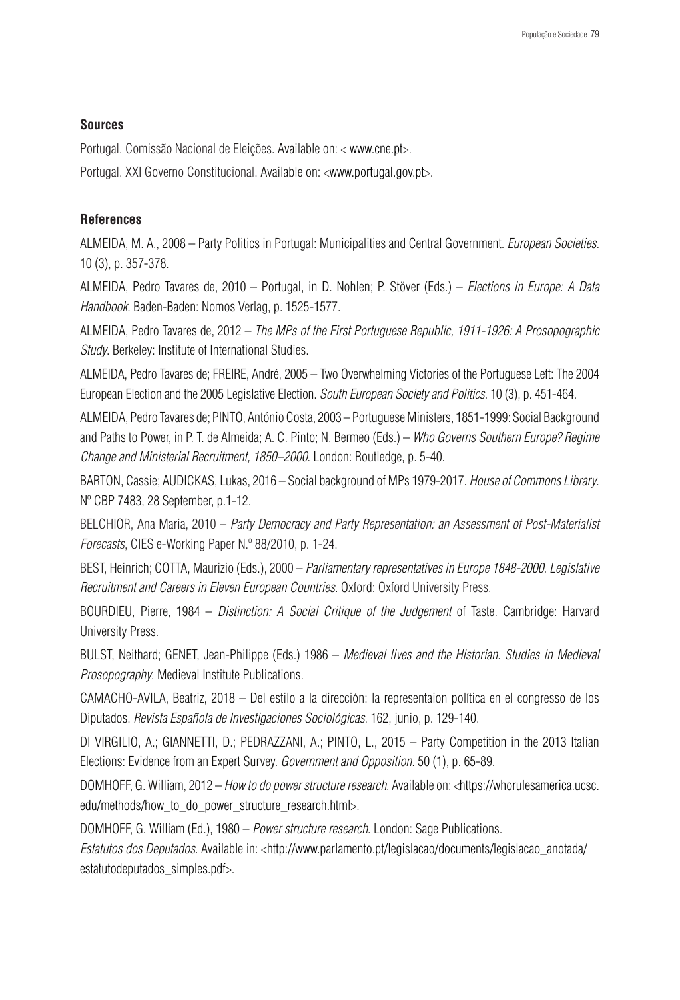## **Sources**

Portugal. Comissão Nacional de Eleições. Available on: < www.cne.pt>.

Portugal. XXI Governo Constitucional. Available on: <www.portugal.gov.pt>.

## **References**

ALMEIDA, M. A., 2008 – Party Politics in Portugal: Municipalities and Central Government. *European Societies.*  10 (3), p. 357-378.

ALMEIDA, Pedro Tavares de, 2010 – Portugal, in D. Nohlen; P. Stöver (Eds.) – *Elections in Europe: A Data Handbook*. Baden-Baden: Nomos Verlag, p. 1525-1577.

ALMEIDA, Pedro Tavares de, 2012 – *The MPs of the First Portuguese Republic, 1911-1926: A Prosopographic Study*. Berkeley: Institute of International Studies.

ALMEIDA, Pedro Tavares de; FREIRE, André, 2005 – Two Overwhelming Victories of the Portuguese Left: The 2004 European Election and the 2005 Legislative Election. *South European Society and Politics.* 10 (3), p. 451-464.

ALMEIDA, Pedro Tavares de; PINTO, António Costa, 2003 – Portuguese Ministers, 1851-1999: Social Background and Paths to Power, in P. T. de Almeida; A. C. Pinto; N. Bermeo (Eds.) – *Who Governs Southern Europe? Regime Change and Ministerial Recruitment, 1850–2000*. London: Routledge, p. 5-40.

BARTON, Cassie; AUDICKAS, Lukas, 2016 – Social background of MPs 1979-2017. *House of Commons Library*. Nº CBP 7483, 28 September, p.1-12.

BELCHIOR, Ana Maria, 2010 – *Party Democracy and Party Representation: an Assessment of Post-Materialist Forecasts*, CIES e-Working Paper N.º 88/2010, p. 1-24.

BEST, Heinrich; COTTA, Maurizio (Eds.), 2000 – *Parliamentary representatives in Europe 1848-2000. Legislative Recruitment and Careers in Eleven European Countries*. Oxford: Oxford University Press.

BOURDIEU, Pierre, 1984 – *Distinction: A Social Critique of the Judgement* of Taste. Cambridge: Harvard University Press.

BULST, Neithard; GENET, Jean-Philippe (Eds.) 1986 – *Medieval lives and the Historian. Studies in Medieval Prosopography*. Medieval Institute Publications.

CAMACHO-AVILA, Beatriz, 2018 – Del estilo a la dirección: la representaion política en el congresso de los Diputados. *Revista Española de Investigaciones Sociológicas*. 162, junio, p. 129-140.

DI VIRGILIO, A.; GIANNETTI, D.; PEDRAZZANI, A.; PINTO, L., 2015 – Party Competition in the 2013 Italian Elections: Evidence from an Expert Survey. *Government and Opposition.* 50 (1), p. 65-89.

DOMHOFF, G. William, 2012 – *How to do power structure research*. Available on: <https://whorulesamerica.ucsc. edu/methods/how\_to\_do\_power\_structure\_research.html>.

DOMHOFF, G. William (Ed.), 1980 – *Power structure research*. London: Sage Publications.

*Estatutos dos Deputados.* Available in: <http://www.parlamento.pt/legislacao/documents/legislacao\_anotada/ estatutodeputados\_simples.pdf>.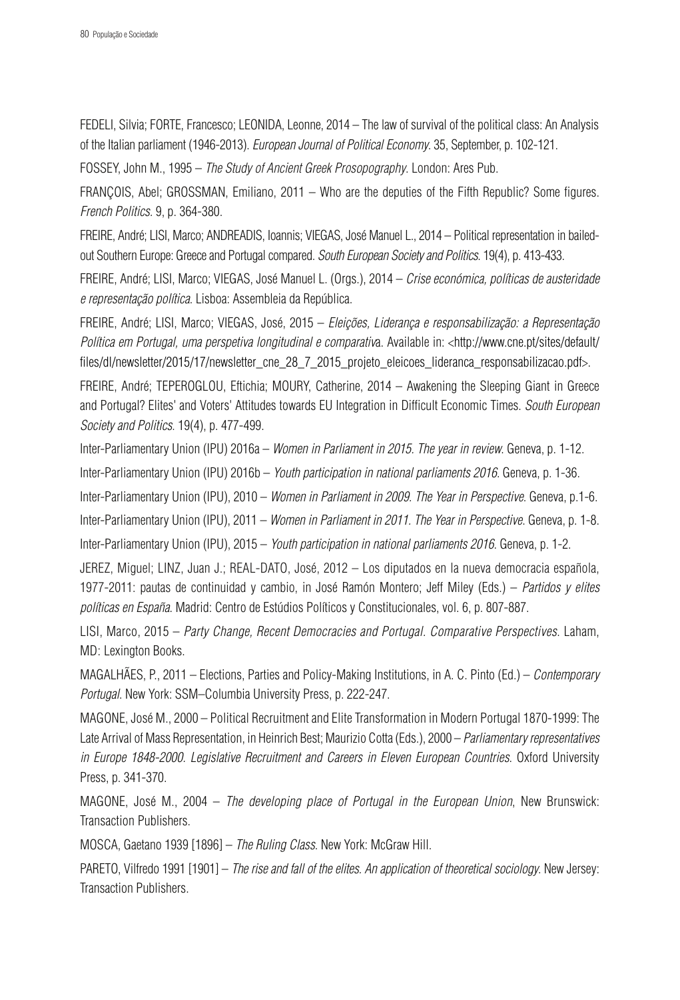FEDELI, Silvia; FORTE, Francesco; LEONIDA, Leonne, 2014 – The law of survival of the political class: An Analysis of the Italian parliament (1946-2013). *European Journal of Political Economy*. 35, September, p. 102-121.

FOSSEY, John M., 1995 – *The Study of Ancient Greek Prosopography*. London: Ares Pub.

FRANÇOIS, Abel; GROSSMAN, Emiliano, 2011 – Who are the deputies of the Fifth Republic? Some figures. *French Politics.* 9, p. 364-380.

FREIRE, André; LISI, Marco; ANDREADIS, Ioannis; VIEGAS, José Manuel L., 2014 – Political representation in bailedout Southern Europe: Greece and Portugal compared. *South European Society and Politics*. 19(4), p. 413-433.

FREIRE, André; LISI, Marco; VIEGAS, José Manuel L. (Orgs.), 2014 – *Crise económica, políticas de austeridade e representação política*. Lisboa: Assembleia da República.

FREIRE, André; LISI, Marco; VIEGAS, José, 2015 – *Eleições, Liderança e responsabilização: a Representação Política em Portugal, uma perspetiva longitudinal e comparativ*a. Available in: <http://www.cne.pt/sites/default/ files/dl/newsletter/2015/17/newsletter\_cne\_28\_7\_2015\_projeto\_eleicoes\_lideranca\_responsabilizacao.pdf>.

FREIRE, André; TEPEROGLOU, Eftichia; MOURY, Catherine, 2014 – Awakening the Sleeping Giant in Greece and Portugal? Elites' and Voters' Attitudes towards EU Integration in Difficult Economic Times. *South European Society and Politics*. 19(4), p. 477-499.

Inter-Parliamentary Union (IPU) 2016a – *Women in Parliament in 2015. The year in review*. Geneva, p. 1-12.

Inter-Parliamentary Union (IPU) 2016b – *Youth participation in national parliaments 2016*. Geneva, p. 1-36.

Inter-Parliamentary Union (IPU), 2010 – *Women in Parliament in 2009. The Year in Perspective*. Geneva, p.1-6.

Inter-Parliamentary Union (IPU), 2011 – *Women in Parliament in 2011. The Year in Perspective*. Geneva, p. 1-8.

Inter-Parliamentary Union (IPU), 2015 – *Youth participation in national parliaments 2016*. Geneva, p. 1-2.

JEREZ, Miguel; LINZ, Juan J.; REAL-DATO, José, 2012 – Los diputados en la nueva democracia española, 1977-2011: pautas de continuidad y cambio, in José Ramón Montero; Jeff Miley (Eds.) – *Partidos y elites políticas en España*. Madrid: Centro de Estúdios Políticos y Constitucionales, vol. 6, p. 807-887.

LISI, Marco, 2015 – *Party Change, Recent Democracies and Portugal. Comparative Perspectives*. Laham, MD: Lexington Books.

MAGALHÃES, P., 2011 – Elections, Parties and Policy-Making Institutions, in A. C. Pinto (Ed.) – *Contemporary Portugal*. New York: SSM–Columbia University Press, p. 222-247.

MAGONE, José M., 2000 – Political Recruitment and Elite Transformation in Modern Portugal 1870-1999: The Late Arrival of Mass Representation, in Heinrich Best; Maurizio Cotta (Eds.), 2000 – *Parliamentary representatives in Europe 1848-2000. Legislative Recruitment and Careers in Eleven European Countries*. Oxford University Press, p. 341-370.

MAGONE, José M., 2004 – *The developing place of Portugal in the European Union*, New Brunswick: Transaction Publishers.

MOSCA, Gaetano 1939 [1896] – *The Ruling Class*. New York: McGraw Hill.

PARETO, Vilfredo 1991 [1901] – *The rise and fall of the elites. An application of theoretical sociology*. New Jersey: Transaction Publishers.